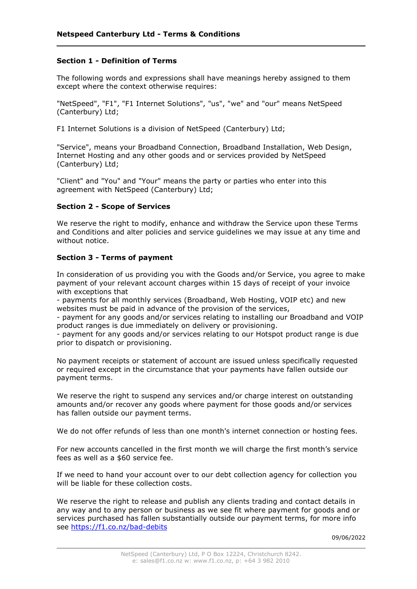## Section 1 - Definition of Terms

The following words and expressions shall have meanings hereby assigned to them except where the context otherwise requires:

"NetSpeed", "F1", "F1 Internet Solutions", "us", "we" and "our" means NetSpeed (Canterbury) Ltd;

F1 Internet Solutions is a division of NetSpeed (Canterbury) Ltd;

"Service", means your Broadband Connection, Broadband Installation, Web Design, Internet Hosting and any other goods and or services provided by NetSpeed (Canterbury) Ltd;

"Client" and "You" and "Your" means the party or parties who enter into this agreement with NetSpeed (Canterbury) Ltd;

## Section 2 - Scope of Services

We reserve the right to modify, enhance and withdraw the Service upon these Terms and Conditions and alter policies and service guidelines we may issue at any time and without notice.

## Section 3 - Terms of payment

In consideration of us providing you with the Goods and/or Service, you agree to make payment of your relevant account charges within 15 days of receipt of your invoice with exceptions that

- payments for all monthly services (Broadband, Web Hosting, VOIP etc) and new websites must be paid in advance of the provision of the services,

- payment for any goods and/or services relating to installing our Broadband and VOIP product ranges is due immediately on delivery or provisioning.

- payment for any goods and/or services relating to our Hotspot product range is due prior to dispatch or provisioning.

No payment receipts or statement of account are issued unless specifically requested or required except in the circumstance that your payments have fallen outside our payment terms.

We reserve the right to suspend any services and/or charge interest on outstanding amounts and/or recover any goods where payment for those goods and/or services has fallen outside our payment terms.

We do not offer refunds of less than one month's internet connection or hosting fees.

For new accounts cancelled in the first month we will charge the first month's service fees as well as a \$60 service fee.

If we need to hand your account over to our debt collection agency for collection you will be liable for these collection costs.

We reserve the right to release and publish any clients trading and contact details in any way and to any person or business as we see fit where payment for goods and or services purchased has fallen substantially outside our payment terms, for more info see https://f1.co.nz/bad-debits

09/06/2022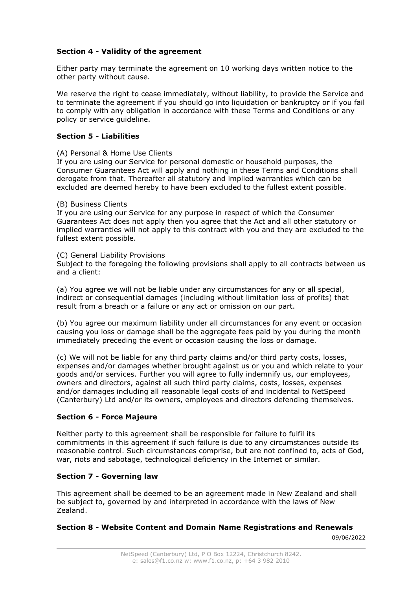# Section 4 - Validity of the agreement

Either party may terminate the agreement on 10 working days written notice to the other party without cause.

We reserve the right to cease immediately, without liability, to provide the Service and to terminate the agreement if you should go into liquidation or bankruptcy or if you fail to comply with any obligation in accordance with these Terms and Conditions or any policy or service guideline.

## Section 5 - Liabilities

#### (A) Personal & Home Use Clients

If you are using our Service for personal domestic or household purposes, the Consumer Guarantees Act will apply and nothing in these Terms and Conditions shall derogate from that. Thereafter all statutory and implied warranties which can be excluded are deemed hereby to have been excluded to the fullest extent possible.

## (B) Business Clients

If you are using our Service for any purpose in respect of which the Consumer Guarantees Act does not apply then you agree that the Act and all other statutory or implied warranties will not apply to this contract with you and they are excluded to the fullest extent possible.

#### (C) General Liability Provisions

Subject to the foregoing the following provisions shall apply to all contracts between us and a client:

(a) You agree we will not be liable under any circumstances for any or all special, indirect or consequential damages (including without limitation loss of profits) that result from a breach or a failure or any act or omission on our part.

(b) You agree our maximum liability under all circumstances for any event or occasion causing you loss or damage shall be the aggregate fees paid by you during the month immediately preceding the event or occasion causing the loss or damage.

(c) We will not be liable for any third party claims and/or third party costs, losses, expenses and/or damages whether brought against us or you and which relate to your goods and/or services. Further you will agree to fully indemnify us, our employees, owners and directors, against all such third party claims, costs, losses, expenses and/or damages including all reasonable legal costs of and incidental to NetSpeed (Canterbury) Ltd and/or its owners, employees and directors defending themselves.

## Section 6 - Force Majeure

Neither party to this agreement shall be responsible for failure to fulfil its commitments in this agreement if such failure is due to any circumstances outside its reasonable control. Such circumstances comprise, but are not confined to, acts of God, war, riots and sabotage, technological deficiency in the Internet or similar.

## Section 7 - Governing law

This agreement shall be deemed to be an agreement made in New Zealand and shall be subject to, governed by and interpreted in accordance with the laws of New Zealand.

## Section 8 - Website Content and Domain Name Registrations and Renewals

09/06/2022